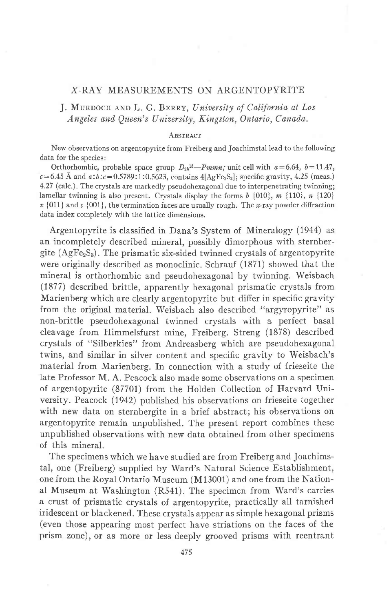## X.RAY MEASUREMENTS ON ARGENTOPYRITE

# J. MURDOCH AND L. G. BERRY, University of California at Los Angeles and Oueen's University, Kingston, Ontario, Canada.

#### ABSTRAcT

New observations on argentopyrite from Freiberg and Joachimstal lead to the following data for the species:

Orthorhombic, probable space group  $D_{2h}^{13}$ -Pmmn; unit cell with  $a=6.64$ ,  $b=11.47$ ,  $c=6.45$  Å and  $a:b:c=0.5789:1:0.5623$ , contains  $4[AgFe<sub>2</sub>S<sub>3</sub>]$ ; specific gravity, 4.25 (meas.) 4.27 (calc.). The crystals are markedly pseudohexagonal due to interpenetrating twinning; lamellar twinning is also present. Crystals display the forms  $b \{010\}$ ,  $m \{110\}$ ,  $n \{120\}$ x {011} and  $\epsilon$  {001}, the termination faces are usually rough. The x-ray powder diffraction data index completely with the lattice dimensions.

Argentopyrite is classified in Dana's System of Mineralogy (1944) as an incompletely described mineral, possibly dimorphous with sternbergite  $(AgFe<sub>2</sub>S<sub>3</sub>)$ . The prismatic six-sided twinned crystals of argentopyrite were originally described as monoclinic. Schrauf (1871) showed that the mineral is orthorhombic and pseudohexagonal by twinning. Weisbach (1877) described brittle, apparently hexagonal prismatic crystals from Marienberg which are clearly argentopyrite but differ in specific gravity from the original material. Weisbach also described "argyropyrite" as non-brittle pseudohexagonal twinned crystals with a perfect basal cleavage from Himmelsfurst mine, Freiberg. Streng (1878) described crystals of "Silberkies" from Andreasberg which are pseudohexagonal twins, and similar in silver content and specific gravity to Weisbach's material from Marienberg. In connection with a study of frieseite the Iate Professor M. A. Peacock also made some observations on a specimen of argentopyrite (87701) from the Holden Collection of Harvard University. Peacock (1942) published his observations on frieseite together with new data on sternbergite in a brief abstract; his observations on argentopyrite remain unpublished. The present report combines these unpublished observations with new data obtained from other specimens of this mineral.

The specimens which we have studied are from Freiberg and Joachimstal, one (Freiberg) supplied by Ward's Natural Science Establishment, one from the Royal Ontario Museum (M13001) and one from the National Museum at Washington (R541). The specimen from Ward's carries a crust of prismatic crystals of argentopyrite, practically all tarnished iridescent or blackened. These crystals appear as simple hexagonal prisms (even those appearing most perfect have striations on the faces of the prism zone), or as more or Iess deeply grooved prisms with reentrant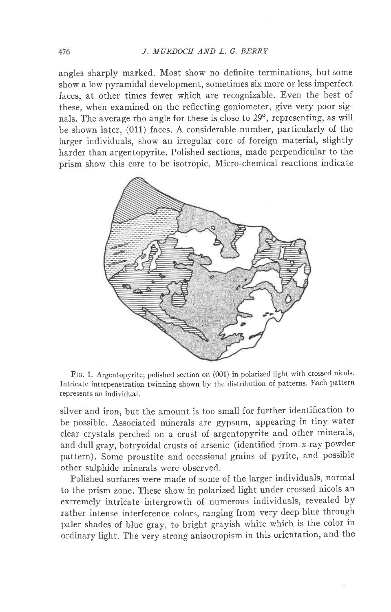angles sharply marked. Most show no definite terminations, but some show a low pyramidal development, sometimes six more or less imperfect faces, at other times fewer which are recognizable. Even the best of these, when examined on the reflecting goniometer, give very poor signals. The average rho angle for these is close to 29°, representing, as will be shown later, (011) faces. A considerable number, particularly of the larger individuals, show an irregular core of foreign material, slightly harder than argentopyrite. Polished sections, made perpendicular to the prism show this core to be isotropic. Micro-chemical reactions indicate



FIG. 1. Argentopyrite; polished section on (001) in polarized light with crossed nicols. Intricate interpenetration twinning shown by the distribution of patterns. Each pattern represents an individual.

silver and iron, but the amount is too small for further identification to be possible. Associated minerals are gypsum, appearing in tiny water clear crystals perched on a crust of argentopyrite and other minerals, and dull gray, botryoidal crusts of arsenic (identified from x-ray powder pattern). Some proustite and occasional grains of pyrite, and possible other sulphide minerals were observed.

Polished surfaces were made of some of the larger individuals, normal to the prism zone. These show in polarized Iight under crossed nicols an extremely intricate intergrowth of numerous individuals, revealed by rather intense interference colors, ranging from very deep blue through paler shades of blue gray, to bright grayish white which is the color in ordinary light. The very strong anisotropism in this orientation, and the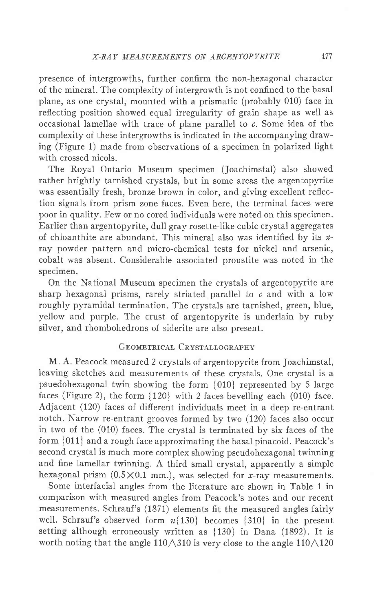presence of intergrowths, further confirm the non-hexagonal character of the mineral. The complexity of intergrowth is not confined to the basal plane, as one crystal, mounted with a prismatic (probably 010) face in reflecting position showed equal irregularity of grain shape as well as occasional lamellae with trace of plane parallel to c. Some idea of the complexity of these intergrowths is indicated in the accompanying drawing (Figure 1) made from observations of a specimen in polarized light with crossed nicols.

The Royal Ontario Museum specimen (Joachimstal) also showed rather brightly tarnished crystals, but in some areas the argentopyrite was essentially fresh, bronze brown in color, and giving excellent reflection signals from prism zone faces. Even here, the terminal faces were poor in quality. Few or no cored individuals were noted on this specimen. Earlier than argentopyrite, dull gray rosette-like cubic crystal aggregates of chloanthite are abundant. This mineral also was identified by its  $x$ ray powder pattern and micro-chemical tests for nickel and arsenic, cobalt was absent. Considerable associated proustite was noted in the specimen.

On the National Museum specimen the crystals of argentopyrite are sharp hexagonal prisms, rarely striated parallel to  $c$  and with a low roughly pyramidal termination. The crystals are tarnished, green, blue, yellow and purple. The crust of argentopyrite is underlain by ruby silver, and rhombohedrons of siderite are also present.

# GEOMETRICAL CRYSTALLOGRAPHY

M. A. Peacock measured 2 crystals of argentopyrite from Joachimstal, leaving sketches and measurements of these crystals. One crystal is a psuedohexagonal twin showing the form {010} represented by 5 large faces (Figure 2), the form {120} with 2 faces bevelling each (010) face. Adjacent (120) faces of different individuals meet in a deep re-entrant notch. Narrow re-entrant grooves formed by two (120) faces also occur in two of the (010) faces. The crystal is terminated by six faces of the form {011 } and a rough face approximating the basal pinacoid. Peacock's second crystal is much more complex showing pseudohexagonal twinning and fine lamellar twinning. A third small crystal, apparently a simple hexagonal prism  $(0.5 \times 0.1 \text{ mm})$ , was selected for *x*-ray measurements.

Some interfacial angles from the literature are shown in Table 1 in comparison with measured angles from Peacock's notes and our recent measurements. Schrauf's (1871) elements fit the measured angles fairly well. Schrauf's observed form  $n{130}$  becomes  ${310}$  in the present setting although erroneously written as {130} in Dana (1892). It is worth noting that the angle  $110\land 310$  is very close to the angle  $110\land 120$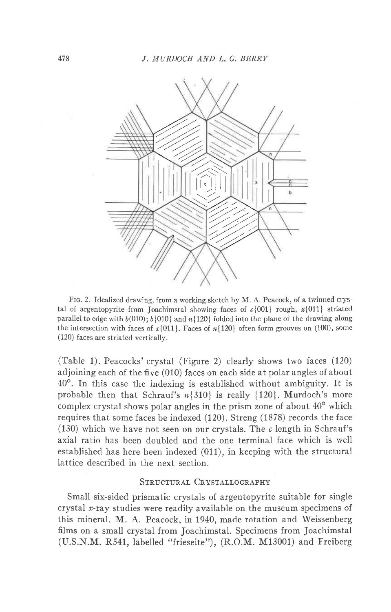

Frc. 2. Idealized drawing, from a working sketch by M. A. Peacock, of a twinned crystal of argentopyrite from Joachimstal showing faces of  $c[001]$  rough,  $x\{011\}$  striated parallel to edge with  $b(010)$ ;  $b(010)$  and  $n(120)$  folded into the plane of the drawing along the intersection with faces of  $\alpha$ {011}. Faces of  $n$ {120} often form grooves on (100), some (120) faces are striated verticallv.

(Table 1). Peacocks'crystal (Figure 2) clearly shows two faces (120) adjoining each of the five (010) faces on each side at polar angles of about 40°. In this case the indexing is established without ambiguity. It is probable then that Schrauf's  $n\{310\}$  is really  $\{120\}$ . Murdoch's more complex crystal shows polar angles in the prism zone of about  $40^{\circ}$  which requires that some faces be indexed  $(120)$ . Streng  $(1878)$  records the face (130) which we have not seen on our crystals. The  $\epsilon$  length in Schrauf's axial ratio has been doubled and the one terminal face which is well established has here been indexed (011), in keeping with the structural lattice described in the next section.

# STRUCTURAL CRYSTALLOGRAPHY

Small six-sided prismatic crystals of argentopyrite suitable for single crystal  $x$ -ray studies were readily available on the museum specimens of this mineral. M. A. Peacock, in 1940, made rotation and Weissenberg films on a small crystal from Joachimstal. Specimens from Joachimstal (U.S.N.M. R541, Iabelled "frieseite"), (R.O.M. M13001) and Freiberg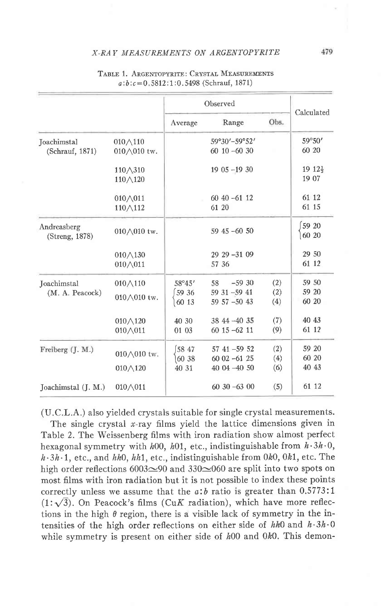### X-RAY MEASUREMENTS ON ARGENTOPYRITE

|                               |                      | Observed       |                                    |            |                     |
|-------------------------------|----------------------|----------------|------------------------------------|------------|---------------------|
|                               |                      | Average        | Range                              | Obs.       | Calculated          |
| Joachimstal                   | $010 \wedge 110$     |                | 59°30'-59°52'                      |            | 59°50'              |
| (Schrauf, 1871)               | 010/010 tw.          |                | $6010 - 6030$                      |            | 60 20               |
|                               | 110 $\land$ 310      |                | $1905 - 1930$                      |            | $19\;12\frac{1}{2}$ |
|                               | $110 \wedge 120$     |                |                                    |            | 19 07               |
|                               | 010/011              |                | $6040 - 6112$                      |            | 61 12               |
|                               | $110 \wedge 112$     |                | 61 20                              |            | 61 15               |
| Andreasberg<br>(Streng, 1878) | 010/010 tw.          |                | $5945 - 6050$                      |            | 59 20<br>60 20      |
|                               | $010 \wedge 130$     |                | $2929 - 3109$                      |            | 29 50               |
|                               | $010 \wedge 011$     |                | 57 36                              |            | 61 12               |
| <b>Joachimstal</b>            | $010 \wedge 110$     | 58°45'         | $-5930$<br>58                      | (2)        | 59 50               |
| (M. A. Peacock)               | $010 \wedge 010$ tw. | 59 36<br>60 13 | $5931 - 5941$<br>$59\,57 - 50\,43$ | (2)<br>(4) | 59 20<br>60 20      |
|                               | $010 \wedge 120$     | 40 30          | $3844 - 4035$                      | (7)        | 40 43               |
|                               | 010/011              | 01 03          | $60$ $15 - 62$ $11$                | (9)        | 61 12               |
| Freiberg (J. M.)              | 010/010 tw.          | 58 47          | $57$ 41 $-59$ 52                   | (2)        | 59 20               |
|                               |                      | 60 38          | $6002 - 6125$                      | (4)        | 60 20               |
|                               | $010 \wedge 120$     | 40 31          | $4004 - 4050$                      | (6)        | 40 43               |
| Joachimstal (J. M.)           | $010 \wedge 011$     |                | $6030 - 6300$                      | (5)        | 61 12               |

#### TABLE 1. ARGENTOPYRITE: CRYSTAL MEASUREMENTS  $a:b:c=0.5812:1:0.5498$  (Schrauf, 1871)

(U.C.L.A.) also yielded crystals suitable for single crystal measurements.

The single crystal  $x$ -ray films yield the lattice dimensions given in Table 2. The Weissenberg films with iron radiation show almost perfect hexagonal symmetry with  $h00$ ,  $h01$ , etc., indistinguishable from  $h \cdot 3h \cdot 0$ ,  $h \cdot 3h \cdot 1$ , etc., and  $hh0$ ,  $hh1$ , etc., indistinguishable from 0 $k0$ , 0 $k1$ , etc. The high order reflections  $6003 \approx 90$  and  $330 \approx 060$  are split into two spots on most films with iron radiation but it is not possible to index these points correctly unless we assume that the  $a:b$  ratio is greater than  $0.5773:1$  $(1:\sqrt{3})$ . On Peacock's films (CuK radiation), which have more reflections in the high  $\theta$  region, there is a visible lack of symmetry in the intensities of the high order reflections on either side of  $hh0$  and  $h \cdot 3h \cdot 0$ while symmetry is present on either side of h00 and 0k0. This demon-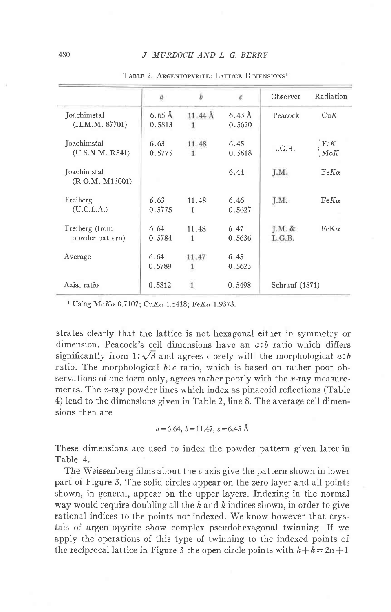|                                   | $\boldsymbol{a}$   | Ъ                       | c                          | Observer           | Radiation   |
|-----------------------------------|--------------------|-------------------------|----------------------------|--------------------|-------------|
| Joachimstal<br>(H.M.M. 87701)     | $6.65$ Å<br>0.5813 | $11.44 \text{ Å}$       | $6.43 \text{ Å}$<br>0.5620 | Peacock            | CuK         |
| Joachimstal<br>(U.S.N.M. R541)    | 6.63<br>0.5775     | 11.48<br>$\overline{1}$ | 6.45<br>0.5618             | L.G.B.             | FeK<br>MoK  |
| Joachimstal<br>(R.O.M. M13001)    |                    |                         | 6.44                       | J.M.               | $FeK\alpha$ |
| Freiberg<br>(U.C.L.A.)            | 6.63<br>0.5775     | 11.48<br>1              | 6.46<br>0.5627             | J.M.               | $FeK\alpha$ |
| Freiberg (from<br>powder pattern) | 6.64<br>0.5784     | 11.48<br>1              | 6.47<br>0.5636             | $J.M.$ &<br>L.G.B. | $FeK\alpha$ |
| Average                           | 6.64<br>0.5789     | 11.47<br>1              | 6.45<br>0.5623             |                    |             |
| Axial ratio                       | 0.5812             | 1                       | 0.5498                     | Schrauf (1871)     |             |

TABLE 2. ARGENTOPYRITE: LATTICE DIMENSIONS<sup>1</sup>

 $1$  Using MoKa 0.7107; CuKa 1.5418; FeKa 1.9373.

strates clearly that the lattice is not hexagonal either in symmetry or dimension. Peacock's cell dimensions have an  $a:b$  ratio which differs significantly from 1: $\sqrt{3}$  and agrees closely with the morphological a:b ratio. The morphological b:c ratio, which is based on rather poor observations of one form only, agrees rather poorly with the  $x$ -ray measurements. The  $x$ -ray powder lines which index as pinacoid reflections (Table 4) Iead to the dimensions given in Table 2, line 8. The average cell dimensions then are

$$
a=6.64
$$
,  $b=11.47$ ,  $c=6.45$  Å

These dimensions are used to index the powder pattern given later in Table 4.

The Weissenberg films about the  $\epsilon$  axis give the pattern shown in lower part of Figure 3. The solid circles appear on the zerolayer and all points shown, in general, appear on the upper layers. fndexing in the normal way would require doubling all the  $h$  and  $k$  indices shown, in order to give rational indices to the points not indexed. We know however that crystals of argentopyrite show complex pseudohexagonal twinning. If we apply the operations of this type of twinning to the indexed points of the reciprocal lattice in Figure 3 the open circle points with  $h+k=2n+1$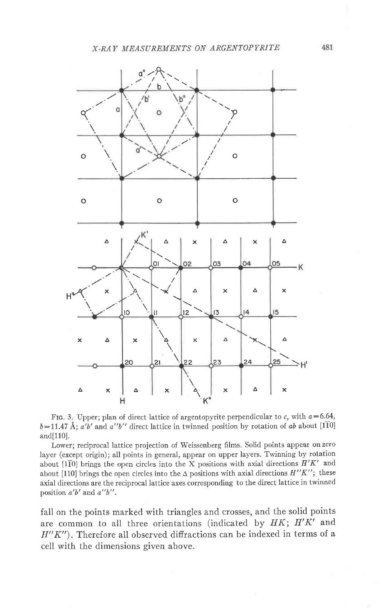

FIG. 3. Upper; plan of direct lattice of argentopyrite perpendicular to c, with  $a=6.64$ ,  $b=11.47$  Å; a'b' and a''b'' direct lattice in twinned position by rotation of ab about [1T0] and[110].

Lower; reciprocal lattice projection of Weissenberg films. Solid points appear on zero layer (except origin); all points in general, appear on upper layers. Twinning by rotation about [110] brings the open circles into the X positions with axial directions  $H'K'$  and about [110] brings the open circles into the  $\Delta$  positions with axial directions  $H''K''$ ; these axial directions are the reciprocal lattice axes corresponding to the direct lattice in twinned position  $a'b'$  and  $a''b''$ .

fall on the points marked with triangles and crosses, and the solid points are common to all three orientations (indicated by  $HK$ ;  $H'K'$  and  $H''K''$ ). Therefore all observed diffractions can be indexed in terms of a cell with the dimensions given above.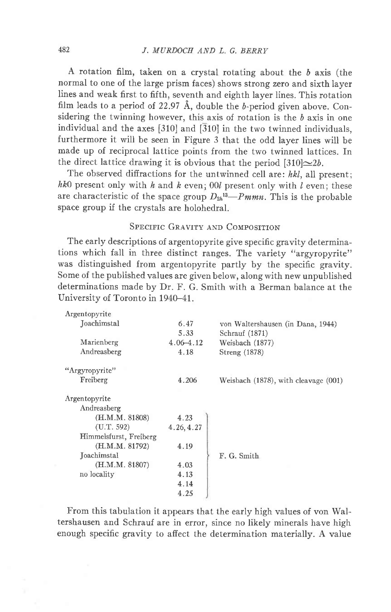A rotation film, taken on a crystal rotating about the  $b$  axis (the normal to one of the large prism faces) shows strong zero and sixth layer Iines and weak first to fifth, seventh and eighth layer lines. This rotation film leads to a period of 22.97 Å, double the  $b$ -period given above. Considering the twinning however, this axis of rotation is the  $b$  axis in one individual and the axes  $[310]$  and  $[310]$  in the two twinned individuals, furthermore it will be seen in Figure 3 that the odd layer lines will be made up of reciprocal lattice points from the two twinned lattices. In the direct lattice drawing it is obvious that the period  $[310] \approx 2b$ .

The observed diffractions for the untwinned cell are:  $hkl$ , all present; hk0 present only with h and k even; 00l present only with  $l$  even; these are characteristic of the space group  $D_{2h}^{13}$ —Pmmn. This is the probable space group if the crystals are holohedral.

# SPECIFIC GRAVITY AND COMPOSITION

The early descriptions of argentopyrite give specific gravity determinations which fall in three distinct ranges. The variety "argyropyrite" was distinguished from argentopyrite partly by the specific gravity. Some of the published values are given below, along with new unpublished determinations made by Dr. F. G. Smith with a Berman balance at the University of Toronto in 1940-41.

| Argentopyrite          |               |                                      |  |  |  |
|------------------------|---------------|--------------------------------------|--|--|--|
| <b>Joachimstal</b>     | 6.47          | von Waltershausen (in Dana, 1944)    |  |  |  |
|                        | 5.33          | Schrauf (1871)                       |  |  |  |
| Marienberg             | $4.06 - 4.12$ | Weisbach (1877)                      |  |  |  |
| Andreasberg            | 4.18          | Streng (1878)                        |  |  |  |
| "Argyropyrite"         |               |                                      |  |  |  |
| Freiberg               | 4.206         | Weisbach (1878), with cleavage (001) |  |  |  |
| Argentopyrite          |               |                                      |  |  |  |
| Andreasberg            |               |                                      |  |  |  |
| (H.M.M. 81808)         | 4.23          |                                      |  |  |  |
| (U.T. 592)             | 4.26, 4.27    |                                      |  |  |  |
| Himmelsfurst, Freiberg |               |                                      |  |  |  |
| (H.M.M. 81792)         | 4.19          |                                      |  |  |  |
| <b>Joachimstal</b>     |               | F. G. Smith                          |  |  |  |
| (H.M.M. 81807)         | 4.03          |                                      |  |  |  |
| no locality            | 4.13          |                                      |  |  |  |
|                        | 4.14          |                                      |  |  |  |
|                        | 4.25          |                                      |  |  |  |

From this tabulation it appears that the early high values of von Waltershausen and Schrauf are in error, since no likely minerals have high enough specific gravity to affect the determination materially. A value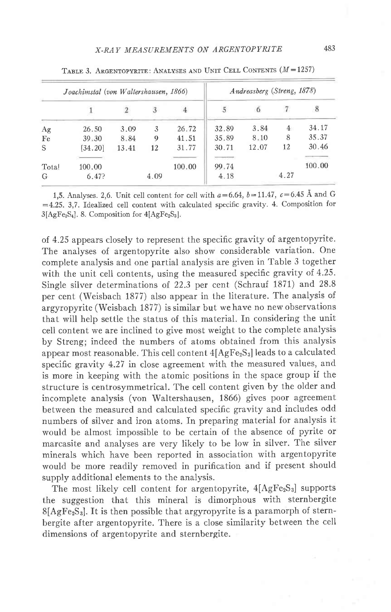|       | Joachimstal (von Waltershausen, 1866) |       |      |                |       | Andreasberg (Streng, 1878) |      |        |  |
|-------|---------------------------------------|-------|------|----------------|-------|----------------------------|------|--------|--|
|       |                                       |       | 3    | $\overline{4}$ | 5     | 6                          | 7    | 8      |  |
| Ag    | 26.50                                 | 3.09  | 3    | 26.72          | 32.89 | 3.84                       | 4    | 34.17  |  |
| Fe    | 39.30                                 | 8.84  | 9    | 41.51          | 35.89 | 8.10                       | 8    | 35.37  |  |
| S     | [34.20]                               | 13.41 | 12   | 31.77          | 30.71 | 12.07                      | 12   | 30.46  |  |
| Tota! | 100.00                                |       |      | 100.00         | 99.74 |                            |      | 100.00 |  |
| G     | 6.47?                                 |       | 4.09 |                | 4.18  |                            | 4.27 |        |  |

TABLE 3. ARGENTOPYRITE: ANALYSES AND UNIT CELL CONTENTS  $(M = 1257)$ 

1,5. Analyses. 2,6. Unit cell content for cell with  $a=6.64$ ,  $b=11.47$ ,  $c=6.45$  Å and G  $=4.25.$  3,7. Idealized cell content with calculated specific gravity. 4. Composition for  $3[AgFe<sub>3</sub>S<sub>4</sub>]$ . 8. Composition for  $4[AgFe<sub>2</sub>S<sub>3</sub>]$ .

of 4.25 appears closely to represent the specific gravity of argentopyrite. The analyses of argentopyrite also show considerable variation. One complete analysis and one partial analysis are given in Table 3 together with the unit cell contents, using the measured specific gravity of 4.25. Single silver determinations of 22.3 per cent (Schrauf 1871) and 28.8 per cent (Weisbach 1877) also appear in the literature. The analysis of argyropyrite (Weisbach 1877) is similar but we have no new observations that will help settle the status of this material. In considering the unit cell content we are inclined to give most weight to the complete analysis by Streng; indeed the numbers of atoms obtained from this analysis appear most reasonable. This cell content 4[AgFe<sub>2</sub>S<sub>3</sub>] leads to a calculated specific gravity 4.27 in close agreement with the measured values, and is more in keeping with the atomic positions in the space group if the structure is centrosymmetrical. The cell content given by the older and incomplete analysis (von Waltershausen, 1866) gives poor agreement between the measured and calculated specific gravity and includes odd numbers of silver and iron atoms. In preparing material for analysis it would be almost impossible to be certain of the absence of pyrite or marcasite and analyses are very likely to be low in silver. The silver minerals which have been reported in association with argentopyrite would be more readily removed in purification and if present should supply additional elements to the analysis.

The most likely cell content for argentopyrite, 4[AgFe<sub>2</sub>S<sub>3</sub>] supports the suggestion that this mineral is dimorphous with sternbergite 8[AgFe<sub>2</sub>S<sub>3</sub>]. It is then possible that argyropyrite is a paramorph of sternbergite after argentopyrite. There is a close similarity between the cell dimensions of argentopyrite and sternbergite.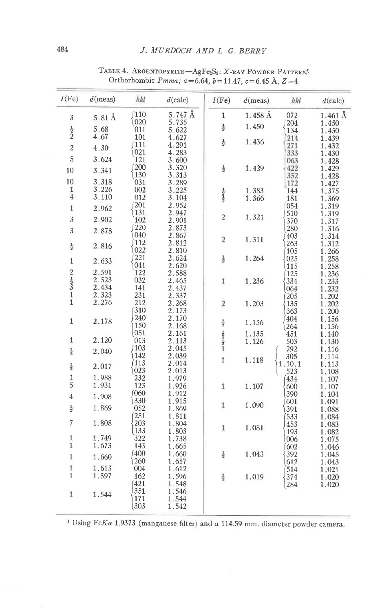| I(Fe)                                                 | $d$ (meas)       | hkl                |                |                                |            |                     |                |
|-------------------------------------------------------|------------------|--------------------|----------------|--------------------------------|------------|---------------------|----------------|
|                                                       |                  |                    | $d$ (calc)     | I(Fe)                          | $d$ (meas) | hkl                 | $d$ (calc)     |
| $\overline{3}$                                        | $5.81 \text{ Å}$ | f110<br>020        | 5.747Å         | $\mathbf{1}$                   | $1.458$ Å  | 072                 | 1.461Å         |
|                                                       | 5.68             | 011                | 5.735<br>5.622 | $\frac{1}{2}$                  | 1.450      | $\sqrt{204}$<br>134 | 1.450<br>1.450 |
| $\frac{1}{2}$                                         | 4.67             | 101                | 4.627          |                                |            | 214                 | 1.439          |
| $\overline{c}$                                        | 4.30             | f111               | 4.291          | $\frac{1}{2}$                  | 1.436      | 271                 | 1.432          |
| $\overline{5}$                                        |                  | 021                | 4.283          |                                |            | 333                 | 1.430          |
|                                                       | 3.624            | 121<br>1200        | 3.600          |                                |            | 063                 | 1.428          |
| 10                                                    | 3.341            | 130                | 3.320<br>3.313 | $\frac{1}{2}$                  | 1.429      | 422<br>352          | 1.429<br>1.428 |
| 10                                                    | 3.318            | 031                | 3.289          |                                |            | 172                 | 1.427          |
| $\,1$                                                 | 3.226            | 002                | 3.225          |                                | 1.383      | 144                 | 1.375          |
| $\overline{4}$                                        | 3.110            | 012                | 3.104          | $\frac{1}{2}$                  | 1.366      | 181                 | 1.369          |
| $\mathbf 1$                                           | 2.962            | $\sqrt{201}$       | 2.952          |                                |            | 054                 | 1.319          |
| $\overline{3}$                                        | 2.902            | 131<br>102         | 2.947          | $\overline{c}$                 | 1.321      | 510                 | 1.319          |
|                                                       |                  | (220)              | 2.901<br>2.873 |                                |            | 370<br>280          | 1.317          |
| $\overline{3}$                                        | 2.878            | 040                | 2.867          |                                |            | 403                 | 1.316<br>1.314 |
| $\frac{1}{2}$                                         |                  | 112                | 2.812          | $\overline{2}$                 | 1.311      | 263                 | 1.312          |
|                                                       | 2.816            | 022                | 2.810          |                                |            | 105                 | 1.266          |
| $\,1\,$                                               | 2.633            | 221                | 2.624          | $\frac{1}{2}$                  | 1.264      | 025                 | 1.258          |
|                                                       | 2.591            | 041                | 2.620          |                                |            | 115                 | 1.258          |
|                                                       | 2.523            | 122<br>032         | 2.588<br>2.465 | $\mathbf 1$                    | 1.236      | 125<br>334          | 1.236<br>1.233 |
|                                                       | 2.434            | 141                | 2.437          |                                |            | 064                 | 1.232          |
| $2\frac{1}{2}$<br>$3\frac{1}{1}$                      | 2.323            | 231                | 2.337          |                                |            | 205                 | 1.202          |
|                                                       | 2.276            | 212                | 2.268          | $\overline{2}$                 | 1.203      | 135                 | 1.202          |
|                                                       |                  | (310)              | 2.173          |                                |            | 363                 | 1.200          |
| $\mathbf{1}% _{T}=\mathbf{1}_{T}\times\mathbf{1}_{T}$ | 2.178            | 240<br>150         | 2.170<br>2.168 | $\frac{1}{2}$                  | 1.156      | 404                 | 1.156          |
|                                                       |                  | 051                | 2.161          |                                | 1.135      | 264<br>451          | 1.156<br>1.140 |
| $\,1\,$                                               | 2.120            | 013                | 2.113          | $\frac{1}{2}$<br>$\frac{1}{2}$ | 1.126      | 503                 | 1.130          |
| $\frac{1}{2}$                                         | 2.040            | /103               | 2.045          |                                |            | 292                 | 1.116          |
|                                                       |                  | 142                | 2.039          | $\mathbbm{1}$                  | 1.118      | 305                 | 1.114          |
| $\frac{1}{2}$                                         | 2.017            | $\hat{1}13$<br>023 | 2.014          |                                |            | 1.10.1              | 1.113          |
| $\mathbf{1}$                                          | 1.988            | 232                | 2.013<br>1.979 |                                |            | 523<br>434          | 1.108<br>1.107 |
| $\overline{5}$                                        | 1.931            | 123                | 1.926          | $\,$ 1                         | 1.107      | 600                 | 1.107          |
| $\overline{4}$                                        | 1.908            | ∫060               | 1.912          |                                |            | 390                 | 1.104          |
|                                                       |                  | 330                | 1.915          | $\,$ 1 $\,$                    | 1.090      | 601                 | 1.091          |
| $\frac{1}{2}$                                         | 1.869            | 052                | 1.869          |                                |            | 391                 | 1.088          |
| $\overline{7}$                                        | 1.808            | 251<br>203         | 1.811<br>1.804 |                                |            | 533                 | 1.084          |
|                                                       |                  | 133                | 1.803          | 1                              | 1.081      | 453<br>193          | 1.083<br>1.082 |
| $1\,$                                                 | 1.749            | 322                | 1.738          |                                |            | 006                 | 1.075          |
| $\,1\,$                                               | 1.673            | 143                | 1.665          |                                |            | 602                 | 1.046          |
| $\mathbf{1}$                                          | 1.660            | (400)              | 1.660          | $\frac{1}{2}$                  | 1.043      | 392                 | 1.045          |
| $1\,$                                                 |                  | 260                | 1.657          |                                |            | 612                 | 1.043          |
| $\mathbf{1}$                                          | 1.613<br>1.597   | 004<br>162         | 1.612<br>1.596 |                                | 1.019      | 514<br>374          | 1.021          |
|                                                       |                  | 421                | 1.548          | $\frac{1}{2}$                  |            | 284                 | 1.020<br>1.020 |
| $\,1$                                                 | 1.544            | 351                | 1.546          |                                |            |                     |                |
|                                                       |                  | 171                | 1.544          |                                |            |                     |                |
|                                                       |                  | 303                | 1.542          |                                |            |                     |                |

TABLE 4. ARGENTOPYRITE-AgFe<sub>2</sub>S<sub>3</sub>: X-RAY POWDER PATTERN<sup>1</sup> Orthorhombic  $Pmma$ ;  $a=6.64$ ,  $b=11.47$ ,  $c=6.45$  Å,  $Z=4$ 

<sup>1</sup> Using Fe $K\alpha$  1.9373 (manganese filter) and a 114.59 mm. diameter powder camera.